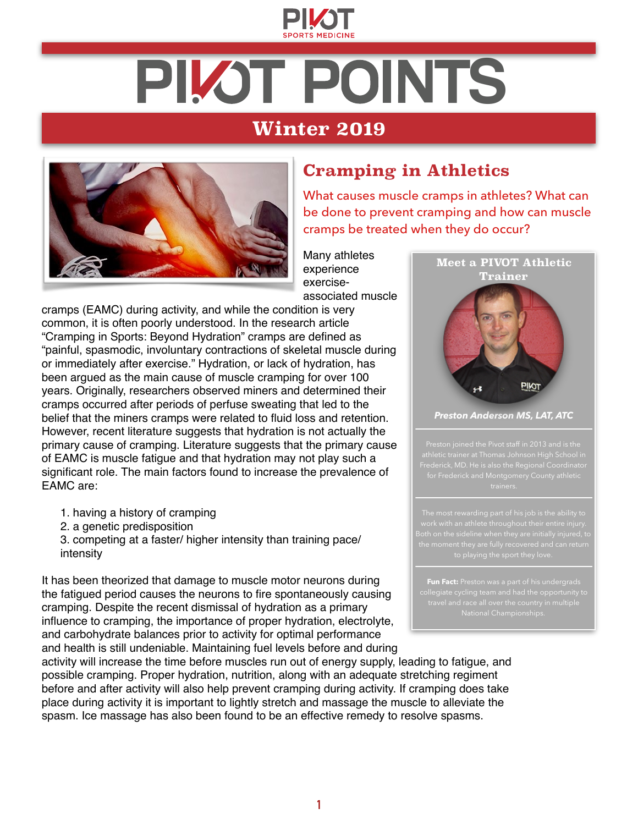

# **PILOT POINTS**

## **Winter 2019**



### **Cramping in Athletics**

What causes muscle cramps in athletes? What can be done to prevent cramping and how can muscle cramps be treated when they do occur?

Many athletes experience exerciseassociated muscle

cramps (EAMC) during activity, and while the condition is very common, it is often poorly understood. In the research article "Cramping in Sports: Beyond Hydration" cramps are defined as "painful, spasmodic, involuntary contractions of skeletal muscle during or immediately after exercise." Hydration, or lack of hydration, has been argued as the main cause of muscle cramping for over 100 years. Originally, researchers observed miners and determined their cramps occurred after periods of perfuse sweating that led to the belief that the miners cramps were related to fluid loss and retention. However, recent literature suggests that hydration is not actually the primary cause of cramping. Literature suggests that the primary cause of EAMC is muscle fatigue and that hydration may not play such a significant role. The main factors found to increase the prevalence of EAMC are:

- 1. having a history of cramping
- 2. a genetic predisposition
- 3. competing at a faster/ higher intensity than training pace/ intensity

It has been theorized that damage to muscle motor neurons during the fatigued period causes the neurons to fire spontaneously causing cramping. Despite the recent dismissal of hydration as a primary influence to cramping, the importance of proper hydration, electrolyte, and carbohydrate balances prior to activity for optimal performance and health is still undeniable. Maintaining fuel levels before and during



*Preston Anderson MS, LAT, ATC* 

Frederick, MD. He is also the Regional Coordinator

Both on the sideline when they are initially injured, to

**Fun Fact:** Preston was a part of his undergrads National Championships.

activity will increase the time before muscles run out of energy supply, leading to fatigue, and possible cramping. Proper hydration, nutrition, along with an adequate stretching regiment before and after activity will also help prevent cramping during activity. If cramping does take place during activity it is important to lightly stretch and massage the muscle to alleviate the spasm. Ice massage has also been found to be an effective remedy to resolve spasms.